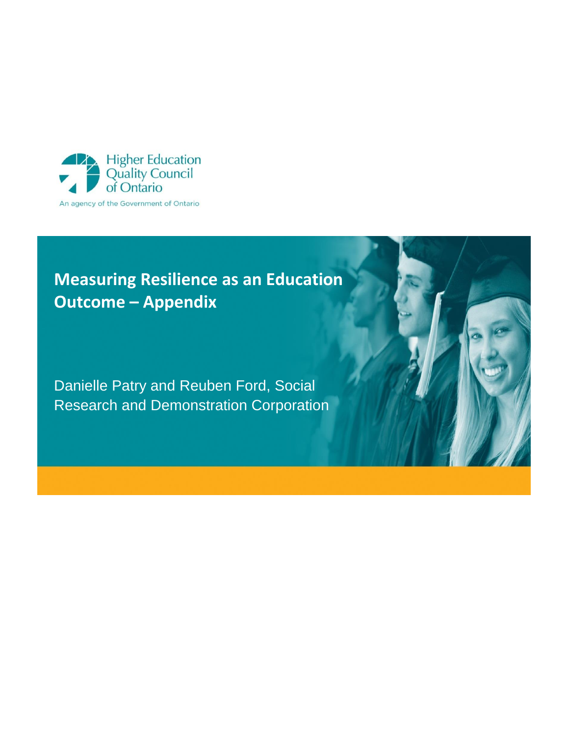

# **Measuring Resilience as an Education Outcome – Appendix**

Danielle Patry and Reuben Ford, Social Research and Demonstration Corporation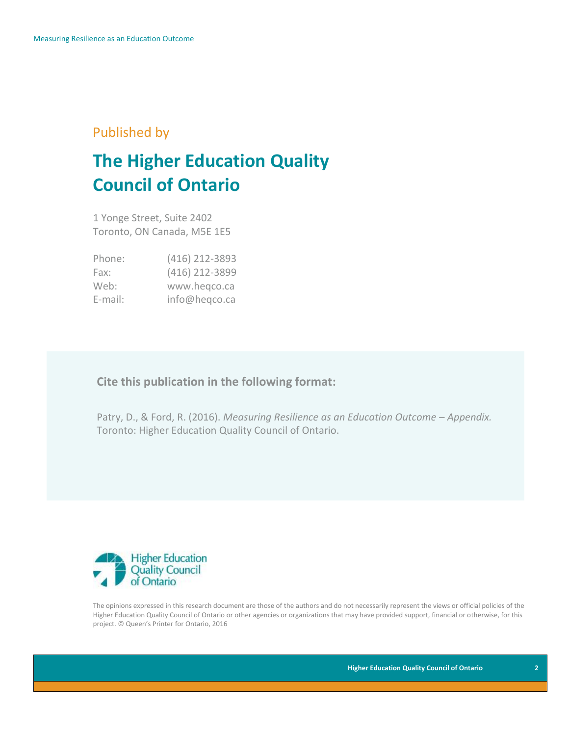### Published by

# **The Higher Education Quality Council of Ontario**

1 Yonge Street, Suite 2402 Toronto, ON Canada, M5E 1E5

| Phone:  | (416) 212-3893 |
|---------|----------------|
| Fax:    | (416) 212-3899 |
| Web:    | www.hegco.ca   |
| E-mail: | info@heqco.ca  |

### **Cite this publication in the following format:**

Patry, D., & Ford, R. (2016). *Measuring Resilience as an Education Outcome – Appendix.*  Toronto: Higher Education Quality Council of Ontario.



The opinions expressed in this research document are those of the authors and do not necessarily represent the views or official policies of the Higher Education Quality Council of Ontario or other agencies or organizations that may have provided support, financial or otherwise, for this project. © Queen's Printer for Ontario, 2016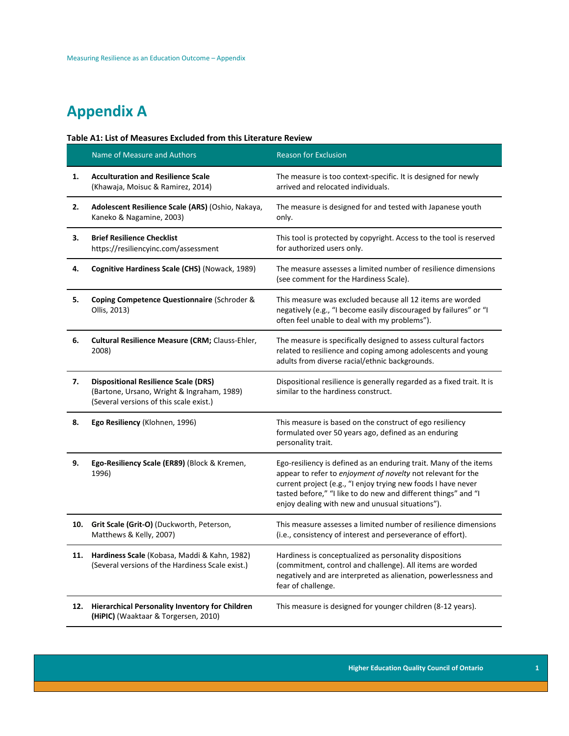## **Appendix A**

#### **Table A1: List of Measures Excluded from this Literature Review**

|     | Name of Measure and Authors                                                                                                          | <b>Reason for Exclusion</b>                                                                                                                                                                                                                                                                                              |
|-----|--------------------------------------------------------------------------------------------------------------------------------------|--------------------------------------------------------------------------------------------------------------------------------------------------------------------------------------------------------------------------------------------------------------------------------------------------------------------------|
| 1.  | <b>Acculturation and Resilience Scale</b><br>(Khawaja, Moisuc & Ramirez, 2014)                                                       | The measure is too context-specific. It is designed for newly<br>arrived and relocated individuals.                                                                                                                                                                                                                      |
| 2.  | Adolescent Resilience Scale (ARS) (Oshio, Nakaya,<br>Kaneko & Nagamine, 2003)                                                        | The measure is designed for and tested with Japanese youth<br>only.                                                                                                                                                                                                                                                      |
| 3.  | <b>Brief Resilience Checklist</b><br>https://resiliencyinc.com/assessment                                                            | This tool is protected by copyright. Access to the tool is reserved<br>for authorized users only.                                                                                                                                                                                                                        |
| 4.  | Cognitive Hardiness Scale (CHS) (Nowack, 1989)                                                                                       | The measure assesses a limited number of resilience dimensions<br>(see comment for the Hardiness Scale).                                                                                                                                                                                                                 |
| 5.  | Coping Competence Questionnaire (Schroder &<br>Ollis, 2013)                                                                          | This measure was excluded because all 12 items are worded<br>negatively (e.g., "I become easily discouraged by failures" or "I<br>often feel unable to deal with my problems").                                                                                                                                          |
| 6.  | Cultural Resilience Measure (CRM; Clauss-Ehler,<br>2008)                                                                             | The measure is specifically designed to assess cultural factors<br>related to resilience and coping among adolescents and young<br>adults from diverse racial/ethnic backgrounds.                                                                                                                                        |
| 7.  | <b>Dispositional Resilience Scale (DRS)</b><br>(Bartone, Ursano, Wright & Ingraham, 1989)<br>(Several versions of this scale exist.) | Dispositional resilience is generally regarded as a fixed trait. It is<br>similar to the hardiness construct.                                                                                                                                                                                                            |
| 8.  | Ego Resiliency (Klohnen, 1996)                                                                                                       | This measure is based on the construct of ego resiliency<br>formulated over 50 years ago, defined as an enduring<br>personality trait.                                                                                                                                                                                   |
| 9.  | Ego-Resiliency Scale (ER89) (Block & Kremen,<br>1996)                                                                                | Ego-resiliency is defined as an enduring trait. Many of the items<br>appear to refer to enjoyment of novelty not relevant for the<br>current project (e.g., "I enjoy trying new foods I have never<br>tasted before," "I like to do new and different things" and "I<br>enjoy dealing with new and unusual situations"). |
| 10. | Grit Scale (Grit-O) (Duckworth, Peterson,<br>Matthews & Kelly, 2007)                                                                 | This measure assesses a limited number of resilience dimensions<br>(i.e., consistency of interest and perseverance of effort).                                                                                                                                                                                           |
| 11. | Hardiness Scale (Kobasa, Maddi & Kahn, 1982)<br>(Several versions of the Hardiness Scale exist.)                                     | Hardiness is conceptualized as personality dispositions<br>(commitment, control and challenge). All items are worded<br>negatively and are interpreted as alienation, powerlessness and<br>fear of challenge.                                                                                                            |
| 12. | Hierarchical Personality Inventory for Children<br>(HiPIC) (Waaktaar & Torgersen, 2010)                                              | This measure is designed for younger children (8-12 years).                                                                                                                                                                                                                                                              |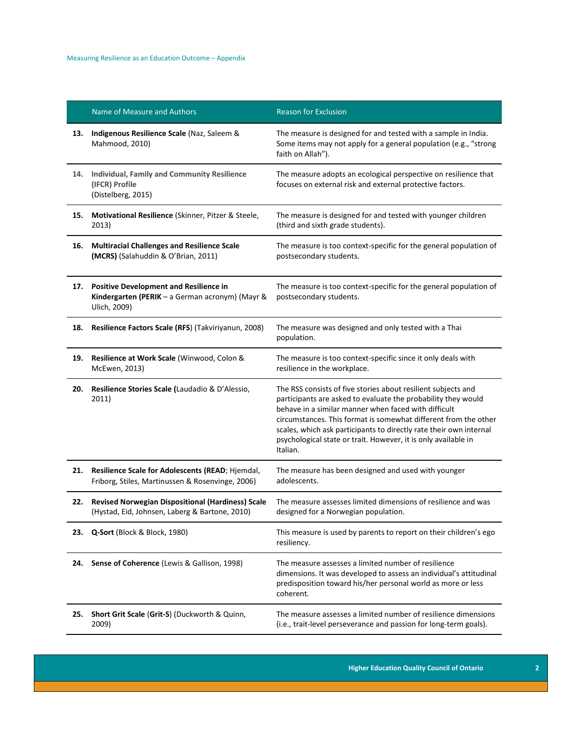|     | Name of Measure and Authors                                                                                      | <b>Reason for Exclusion</b>                                                                                                                                                                                                                                                                                                                                                                                   |
|-----|------------------------------------------------------------------------------------------------------------------|---------------------------------------------------------------------------------------------------------------------------------------------------------------------------------------------------------------------------------------------------------------------------------------------------------------------------------------------------------------------------------------------------------------|
| 13. | Indigenous Resilience Scale (Naz, Saleem &<br>Mahmood, 2010)                                                     | The measure is designed for and tested with a sample in India.<br>Some items may not apply for a general population (e.g., "strong<br>faith on Allah").                                                                                                                                                                                                                                                       |
| 14. | <b>Individual, Family and Community Resilience</b><br>(IFCR) Profile<br>(Distelberg, 2015)                       | The measure adopts an ecological perspective on resilience that<br>focuses on external risk and external protective factors.                                                                                                                                                                                                                                                                                  |
| 15. | Motivational Resilience (Skinner, Pitzer & Steele,<br>2013)                                                      | The measure is designed for and tested with younger children<br>(third and sixth grade students).                                                                                                                                                                                                                                                                                                             |
| 16. | <b>Multiracial Challenges and Resilience Scale</b><br>(MCRS) (Salahuddin & O'Brian, 2011)                        | The measure is too context-specific for the general population of<br>postsecondary students.                                                                                                                                                                                                                                                                                                                  |
| 17. | <b>Positive Development and Resilience in</b><br>Kindergarten (PERIK - a German acronym) (Mayr &<br>Ulich, 2009) | The measure is too context-specific for the general population of<br>postsecondary students.                                                                                                                                                                                                                                                                                                                  |
| 18. | Resilience Factors Scale (RFS) (Takviriyanun, 2008)                                                              | The measure was designed and only tested with a Thai<br>population.                                                                                                                                                                                                                                                                                                                                           |
| 19. | Resilience at Work Scale (Winwood, Colon &<br>McEwen, 2013)                                                      | The measure is too context-specific since it only deals with<br>resilience in the workplace.                                                                                                                                                                                                                                                                                                                  |
| 20. | Resilience Stories Scale (Laudadio & D'Alessio,<br>2011)                                                         | The RSS consists of five stories about resilient subjects and<br>participants are asked to evaluate the probability they would<br>behave in a similar manner when faced with difficult<br>circumstances. This format is somewhat different from the other<br>scales, which ask participants to directly rate their own internal<br>psychological state or trait. However, it is only available in<br>Italian. |
| 21. | Resilience Scale for Adolescents (READ; Hjemdal,<br>Friborg, Stiles, Martinussen & Rosenvinge, 2006)             | The measure has been designed and used with younger<br>adolescents.                                                                                                                                                                                                                                                                                                                                           |
| 22. | <b>Revised Norwegian Dispositional (Hardiness) Scale</b><br>(Hystad, Eid, Johnsen, Laberg & Bartone, 2010)       | The measure assesses limited dimensions of resilience and was<br>designed for a Norwegian population.                                                                                                                                                                                                                                                                                                         |
| 23. | Q-Sort (Block & Block, 1980)                                                                                     | This measure is used by parents to report on their children's ego<br>resiliency.                                                                                                                                                                                                                                                                                                                              |
| 24. | Sense of Coherence (Lewis & Gallison, 1998)                                                                      | The measure assesses a limited number of resilience<br>dimensions. It was developed to assess an individual's attitudinal<br>predisposition toward his/her personal world as more or less<br>coherent.                                                                                                                                                                                                        |
| 25. | Short Grit Scale (Grit-S) (Duckworth & Quinn,<br>2009)                                                           | The measure assesses a limited number of resilience dimensions<br>(i.e., trait-level perseverance and passion for long-term goals).                                                                                                                                                                                                                                                                           |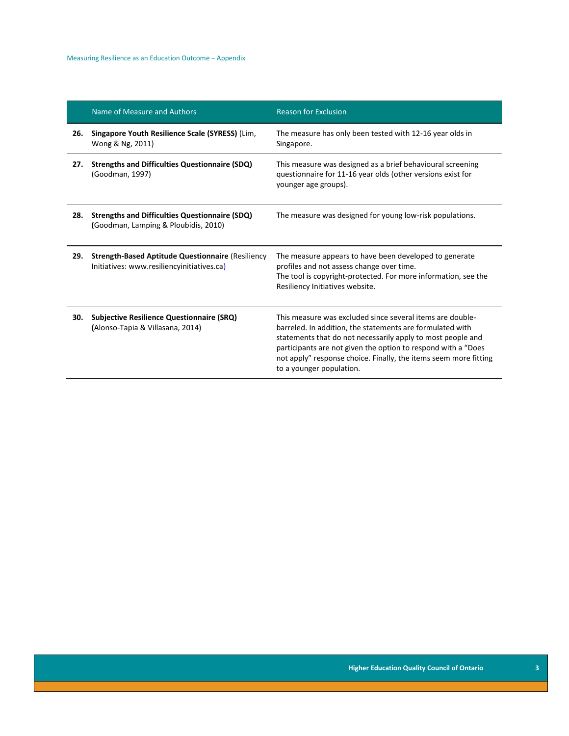|     | Name of Measure and Authors                                                                            | <b>Reason for Exclusion</b>                                                                                                                                                                                                                                                                                                                             |
|-----|--------------------------------------------------------------------------------------------------------|---------------------------------------------------------------------------------------------------------------------------------------------------------------------------------------------------------------------------------------------------------------------------------------------------------------------------------------------------------|
| 26. | Singapore Youth Resilience Scale (SYRESS) (Lim,<br>Wong & Ng, 2011)                                    | The measure has only been tested with 12-16 year olds in<br>Singapore.                                                                                                                                                                                                                                                                                  |
| 27. | <b>Strengths and Difficulties Questionnaire (SDQ)</b><br>(Goodman, 1997)                               | This measure was designed as a brief behavioural screening<br>questionnaire for 11-16 year olds (other versions exist for<br>younger age groups).                                                                                                                                                                                                       |
| 28. | <b>Strengths and Difficulties Questionnaire (SDQ)</b><br>(Goodman, Lamping & Ploubidis, 2010)          | The measure was designed for young low-risk populations.                                                                                                                                                                                                                                                                                                |
| 29. | <b>Strength-Based Aptitude Questionnaire (Resiliency</b><br>Initiatives: www.resiliencyinitiatives.ca) | The measure appears to have been developed to generate<br>profiles and not assess change over time.<br>The tool is copyright-protected. For more information, see the<br>Resiliency Initiatives website.                                                                                                                                                |
| 30. | <b>Subjective Resilience Questionnaire (SRQ)</b><br>(Alonso-Tapia & Villasana, 2014)                   | This measure was excluded since several items are double-<br>barreled. In addition, the statements are formulated with<br>statements that do not necessarily apply to most people and<br>participants are not given the option to respond with a "Does"<br>not apply" response choice. Finally, the items seem more fitting<br>to a younger population. |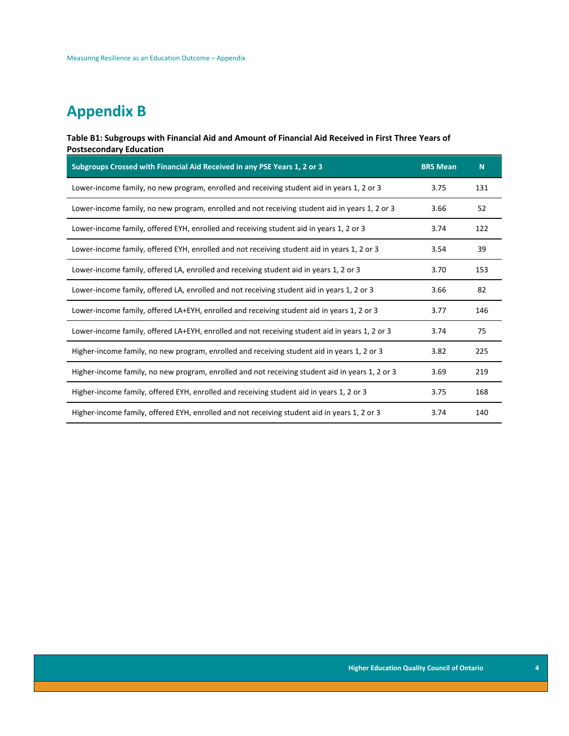### **Appendix B**

#### **Table B1: Subgroups with Financial Aid and Amount of Financial Aid Received in First Three Years of Postsecondary Education**

| Subgroups Crossed with Financial Aid Received in any PSE Years 1, 2 or 3                        | <b>BRS Mean</b> | N.  |
|-------------------------------------------------------------------------------------------------|-----------------|-----|
| Lower-income family, no new program, enrolled and receiving student aid in years 1, 2 or 3      | 3.75            | 131 |
| Lower-income family, no new program, enrolled and not receiving student aid in years 1, 2 or 3  | 3.66            | 52  |
| Lower-income family, offered EYH, enrolled and receiving student aid in years 1, 2 or 3         | 3.74            | 122 |
| Lower-income family, offered EYH, enrolled and not receiving student aid in years 1, 2 or 3     | 3.54            | 39  |
| Lower-income family, offered LA, enrolled and receiving student aid in years 1, 2 or 3          | 3.70            | 153 |
| Lower-income family, offered LA, enrolled and not receiving student aid in years 1, 2 or 3      | 3.66            | 82  |
| Lower-income family, offered LA+EYH, enrolled and receiving student aid in years 1, 2 or 3      | 3.77            | 146 |
| Lower-income family, offered LA+EYH, enrolled and not receiving student aid in years 1, 2 or 3  | 3.74            | 75  |
| Higher-income family, no new program, enrolled and receiving student aid in years 1, 2 or 3     | 3.82            | 225 |
| Higher-income family, no new program, enrolled and not receiving student aid in years 1, 2 or 3 | 3.69            | 219 |
| Higher-income family, offered EYH, enrolled and receiving student aid in years 1, 2 or 3        | 3.75            | 168 |
| Higher-income family, offered EYH, enrolled and not receiving student aid in years 1, 2 or 3    | 3.74            | 140 |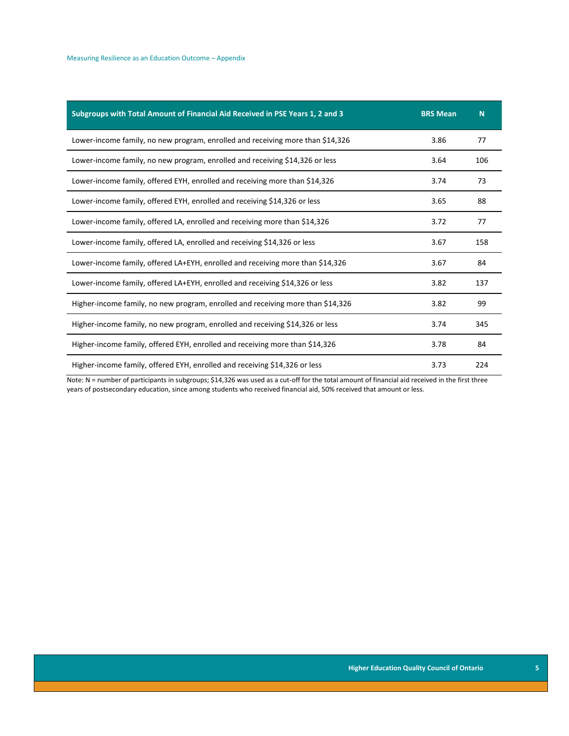| Subgroups with Total Amount of Financial Aid Received in PSE Years 1, 2 and 3   | <b>BRS Mean</b> | N   |
|---------------------------------------------------------------------------------|-----------------|-----|
| Lower-income family, no new program, enrolled and receiving more than \$14,326  | 3.86            | 77  |
| Lower-income family, no new program, enrolled and receiving \$14,326 or less    | 3.64            | 106 |
| Lower-income family, offered EYH, enrolled and receiving more than \$14,326     | 3.74            | 73  |
| Lower-income family, offered EYH, enrolled and receiving \$14,326 or less       | 3.65            | 88  |
| Lower-income family, offered LA, enrolled and receiving more than \$14,326      | 3.72            | 77  |
| Lower-income family, offered LA, enrolled and receiving \$14,326 or less        | 3.67            | 158 |
| Lower-income family, offered LA+EYH, enrolled and receiving more than \$14,326  | 3.67            | 84  |
| Lower-income family, offered LA+EYH, enrolled and receiving \$14,326 or less    | 3.82            | 137 |
| Higher-income family, no new program, enrolled and receiving more than \$14,326 | 3.82            | 99  |
| Higher-income family, no new program, enrolled and receiving \$14,326 or less   | 3.74            | 345 |
| Higher-income family, offered EYH, enrolled and receiving more than \$14,326    | 3.78            | 84  |
| Higher-income family, offered EYH, enrolled and receiving \$14,326 or less      | 3.73            | 224 |

Note: N = number of participants in subgroups; \$14,326 was used as a cut-off for the total amount of financial aid received in the first three years of postsecondary education, since among students who received financial aid, 50% received that amount or less.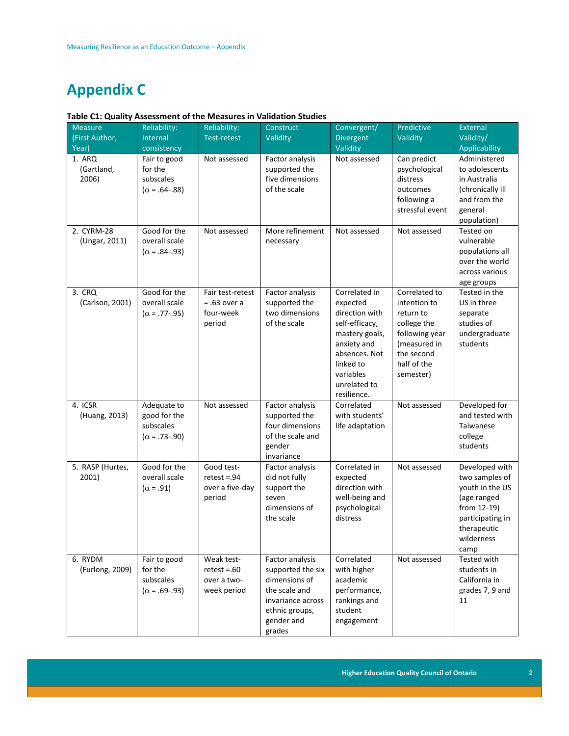### **Appendix C**

### **Table C1: Quality Assessment of the Measures in Validation Studies**

| <b>Measure</b>                | Reliability:                                                     | Reliability:                                               | Construct                                                                                                                             | Convergent/                                                                                                                                                              | Predictive                                                                                                                            | External                                                                                                                                   |
|-------------------------------|------------------------------------------------------------------|------------------------------------------------------------|---------------------------------------------------------------------------------------------------------------------------------------|--------------------------------------------------------------------------------------------------------------------------------------------------------------------------|---------------------------------------------------------------------------------------------------------------------------------------|--------------------------------------------------------------------------------------------------------------------------------------------|
| (First Author,                | Internal                                                         | <b>Test-retest</b>                                         | Validity                                                                                                                              | Divergent                                                                                                                                                                | Validity                                                                                                                              | Validity/                                                                                                                                  |
| Year)                         | consistency                                                      |                                                            |                                                                                                                                       | Validity                                                                                                                                                                 |                                                                                                                                       | Applicability                                                                                                                              |
| 1. ARQ<br>(Gartland,<br>2006) | Fair to good<br>for the<br>subscales<br>$(\alpha = .64-.88)$     | Not assessed                                               | Factor analysis<br>supported the<br>five dimensions<br>of the scale                                                                   | Not assessed                                                                                                                                                             | Can predict<br>psychological<br>distress<br>outcomes<br>following a<br>stressful event                                                | Administered<br>to adolescents<br>in Australia<br>(chronically ill<br>and from the<br>general<br>population)                               |
| 2. CYRM-28<br>(Ungar, 2011)   | Good for the<br>overall scale<br>$(\alpha = .84-.93)$            | Not assessed                                               | More refinement<br>necessary                                                                                                          | Not assessed                                                                                                                                                             | Not assessed                                                                                                                          | Tested on<br>vulnerable<br>populations all<br>over the world<br>across various<br>age groups                                               |
| 3. CRQ<br>(Carlson, 2001)     | Good for the<br>overall scale<br>$(\alpha = .77-.95)$            | Fair test-retest<br>$= .63$ over a<br>four-week<br>period  | Factor analysis<br>supported the<br>two dimensions<br>of the scale                                                                    | Correlated in<br>expected<br>direction with<br>self-efficacy,<br>mastery goals,<br>anxiety and<br>absences. Not<br>linked to<br>variables<br>unrelated to<br>resilience. | Correlated to<br>intention to<br>return to<br>college the<br>following year<br>(measured in<br>the second<br>half of the<br>semester) | Tested in the<br>US in three<br>separate<br>studies of<br>undergraduate<br>students                                                        |
| 4. ICSR<br>(Huang, 2013)      | Adequate to<br>good for the<br>subscales<br>$(\alpha = .73-.90)$ | Not assessed                                               | Factor analysis<br>supported the<br>four dimensions<br>of the scale and<br>gender<br>invariance                                       | Correlated<br>with students'<br>life adaptation                                                                                                                          | Not assessed                                                                                                                          | Developed for<br>and tested with<br>Taiwanese<br>college<br>students                                                                       |
| 5. RASP (Hurtes,<br>2001)     | Good for the<br>overall scale<br>$(\alpha = .91)$                | Good test-<br>$retest = .94$<br>over a five-day<br>period  | Factor analysis<br>did not fully<br>support the<br>seven<br>dimensions of<br>the scale                                                | Correlated in<br>expected<br>direction with<br>well-being and<br>psychological<br>distress                                                                               | Not assessed                                                                                                                          | Developed with<br>two samples of<br>youth in the US<br>(age ranged<br>from 12-19)<br>participating in<br>therapeutic<br>wilderness<br>camp |
| 6. RYDM<br>(Furlong, 2009)    | Fair to good<br>for the<br>subscales<br>$(\alpha = .69-.93)$     | Weak test-<br>$retest = .60$<br>over a two-<br>week period | Factor analysis<br>supported the six<br>dimensions of<br>the scale and<br>invariance across<br>ethnic groups,<br>gender and<br>grades | Correlated<br>with higher<br>academic<br>performance,<br>rankings and<br>student<br>engagement                                                                           | Not assessed                                                                                                                          | Tested with<br>students in<br>California in<br>grades 7, 9 and<br>11                                                                       |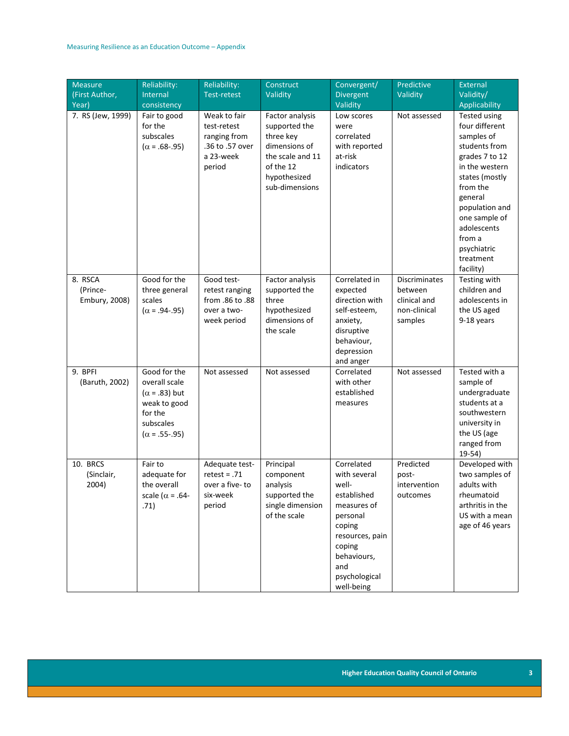| <b>Measure</b><br>(First Author,<br>Year) | Reliability:<br>Internal<br>consistency                                                                               | Reliability:<br><b>Test-retest</b>                                                    | Construct<br>Validity                                                                                                             | Convergent/<br>Divergent<br>Validity                                                                                                                                      | Predictive<br>Validity                                                     | <b>External</b><br>Validity/<br>Applicability                                                                                                                                                                                                          |
|-------------------------------------------|-----------------------------------------------------------------------------------------------------------------------|---------------------------------------------------------------------------------------|-----------------------------------------------------------------------------------------------------------------------------------|---------------------------------------------------------------------------------------------------------------------------------------------------------------------------|----------------------------------------------------------------------------|--------------------------------------------------------------------------------------------------------------------------------------------------------------------------------------------------------------------------------------------------------|
| 7. RS (Jew, 1999)                         | Fair to good<br>for the<br>subscales<br>$(\alpha = .68-.95)$                                                          | Weak to fair<br>test-retest<br>ranging from<br>.36 to .57 over<br>a 23-week<br>period | Factor analysis<br>supported the<br>three key<br>dimensions of<br>the scale and 11<br>of the 12<br>hypothesized<br>sub-dimensions | Low scores<br>were<br>correlated<br>with reported<br>at-risk<br>indicators                                                                                                | Not assessed                                                               | <b>Tested using</b><br>four different<br>samples of<br>students from<br>grades 7 to 12<br>in the western<br>states (mostly<br>from the<br>general<br>population and<br>one sample of<br>adolescents<br>from a<br>psychiatric<br>treatment<br>facility) |
| 8. RSCA<br>(Prince-<br>Embury, 2008)      | Good for the<br>three general<br>scales<br>$(\alpha = .94-.95)$                                                       | Good test-<br>retest ranging<br>from .86 to .88<br>over a two-<br>week period         | Factor analysis<br>supported the<br>three<br>hypothesized<br>dimensions of<br>the scale                                           | Correlated in<br>expected<br>direction with<br>self-esteem,<br>anxiety,<br>disruptive<br>behaviour,<br>depression<br>and anger                                            | <b>Discriminates</b><br>between<br>clinical and<br>non-clinical<br>samples | Testing with<br>children and<br>adolescents in<br>the US aged<br>9-18 years                                                                                                                                                                            |
| 9. BPFI<br>(Baruth, 2002)                 | Good for the<br>overall scale<br>$(\alpha = .83)$ but<br>weak to good<br>for the<br>subscales<br>$(\alpha = .55-.95)$ | Not assessed                                                                          | Not assessed                                                                                                                      | Correlated<br>with other<br>established<br>measures                                                                                                                       | Not assessed                                                               | Tested with a<br>sample of<br>undergraduate<br>students at a<br>southwestern<br>university in<br>the US (age<br>ranged from<br>$19-54)$                                                                                                                |
| 10. BRCS<br>(Sinclair,<br>2004)           | Fair to<br>adequate for<br>the overall<br>scale ( $\alpha$ = .64-<br>.71)                                             | Adequate test-<br>$retest = .71$<br>over a five-to<br>six-week<br>period              | Principal<br>component<br>analysis<br>supported the<br>single dimension<br>of the scale                                           | Correlated<br>with several<br>well-<br>established<br>measures of<br>personal<br>coping<br>resources, pain<br>coping<br>behaviours,<br>and<br>psychological<br>well-being | Predicted<br>post-<br>intervention<br>outcomes                             | Developed with<br>two samples of<br>adults with<br>rheumatoid<br>arthritis in the<br>US with a mean<br>age of 46 years                                                                                                                                 |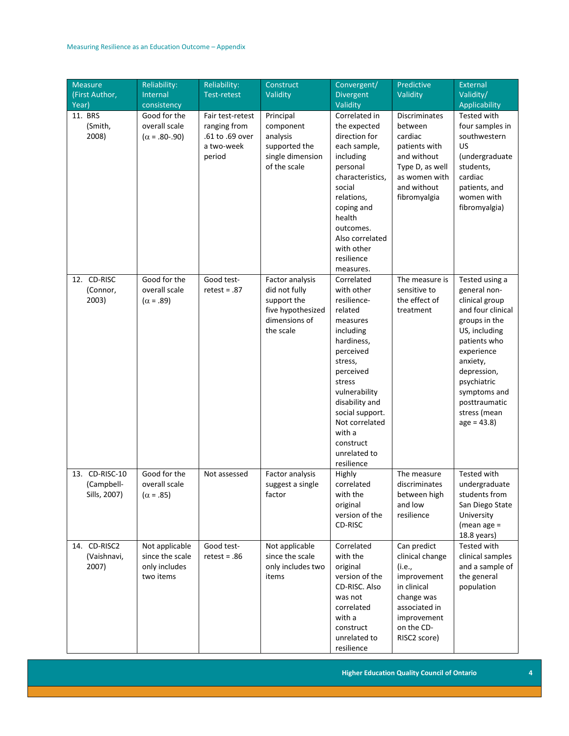| <b>Measure</b> | Reliability:         | Reliability:       | Construct         | Convergent/                       | Predictive           | <b>External</b>   |
|----------------|----------------------|--------------------|-------------------|-----------------------------------|----------------------|-------------------|
| (First Author, | Internal             | <b>Test-retest</b> | Validity          | Divergent                         | Validity             | Validity/         |
| Year)          | consistency          |                    |                   | Validity                          |                      | Applicability     |
| 11. BRS        | Good for the         | Fair test-retest   | Principal         | Correlated in                     | <b>Discriminates</b> | Tested with       |
| (Smith,        | overall scale        | ranging from       | component         | the expected                      | between              | four samples in   |
| 2008)          | $(\alpha = .80-.90)$ | .61 to .69 over    | analysis          | direction for                     | cardiac              | southwestern      |
|                |                      | a two-week         | supported the     | each sample,                      | patients with        | US                |
|                |                      | period             | single dimension  | including                         | and without          | (undergraduate    |
|                |                      |                    | of the scale      | personal                          | Type D, as well      | students,         |
|                |                      |                    |                   | characteristics,                  | as women with        | cardiac           |
|                |                      |                    |                   | social                            | and without          | patients, and     |
|                |                      |                    |                   | relations,                        | fibromyalgia         | women with        |
|                |                      |                    |                   | coping and                        |                      | fibromyalgia)     |
|                |                      |                    |                   | health                            |                      |                   |
|                |                      |                    |                   | outcomes.                         |                      |                   |
|                |                      |                    |                   | Also correlated                   |                      |                   |
|                |                      |                    |                   | with other                        |                      |                   |
|                |                      |                    |                   | resilience                        |                      |                   |
|                |                      |                    |                   | measures.                         |                      |                   |
| 12. CD-RISC    | Good for the         | Good test-         | Factor analysis   | Correlated                        | The measure is       | Tested using a    |
| (Connor,       | overall scale        | $retest = .87$     | did not fully     | with other                        | sensitive to         | general non-      |
| 2003)          | $(\alpha = .89)$     |                    | support the       | resilience-                       | the effect of        | clinical group    |
|                |                      |                    | five hypothesized | related                           | treatment            | and four clinical |
|                |                      |                    | dimensions of     | measures                          |                      | groups in the     |
|                |                      |                    | the scale         | including                         |                      | US, including     |
|                |                      |                    |                   | hardiness,                        |                      | patients who      |
|                |                      |                    |                   | perceived                         |                      | experience        |
|                |                      |                    |                   | stress,                           |                      | anxiety,          |
|                |                      |                    |                   | perceived                         |                      | depression,       |
|                |                      |                    |                   | stress                            |                      | psychiatric       |
|                |                      |                    |                   | vulnerability                     |                      | symptoms and      |
|                |                      |                    |                   | disability and                    |                      | posttraumatic     |
|                |                      |                    |                   | social support.<br>Not correlated |                      | stress (mean      |
|                |                      |                    |                   | with a                            |                      | $age = 43.8$      |
|                |                      |                    |                   | construct                         |                      |                   |
|                |                      |                    |                   | unrelated to                      |                      |                   |
|                |                      |                    |                   | resilience                        |                      |                   |
| 13. CD-RISC-10 | Good for the         | Not assessed       | Factor analysis   | Highly                            | The measure          | Tested with       |
| (Campbell-     | overall scale        |                    | suggest a single  | correlated                        | discriminates        | undergraduate     |
| Sills, 2007)   | $(\alpha = .85)$     |                    | factor            | with the                          | between high         | students from     |
|                |                      |                    |                   | original                          | and low              | San Diego State   |
|                |                      |                    |                   | version of the                    | resilience           | University        |
|                |                      |                    |                   | CD-RISC                           |                      | (mean age $=$     |
|                |                      |                    |                   |                                   |                      | 18.8 years)       |
| 14. CD-RISC2   | Not applicable       | Good test-         | Not applicable    | Correlated                        | Can predict          | Tested with       |
| (Vaishnavi,    | since the scale      | $retest = .86$     | since the scale   | with the                          | clinical change      | clinical samples  |
| 2007)          | only includes        |                    | only includes two | original                          | (i.e.,               | and a sample of   |
|                | two items            |                    | items             | version of the                    | improvement          | the general       |
|                |                      |                    |                   | CD-RISC. Also                     | in clinical          | population        |
|                |                      |                    |                   | was not                           | change was           |                   |
|                |                      |                    |                   | correlated                        | associated in        |                   |
|                |                      |                    |                   | with a                            | improvement          |                   |
|                |                      |                    |                   | construct                         | on the CD-           |                   |
|                |                      |                    |                   | unrelated to                      | RISC2 score)         |                   |
|                |                      |                    |                   | resilience                        |                      |                   |

**Higher Education Quality Council of Ontario 4**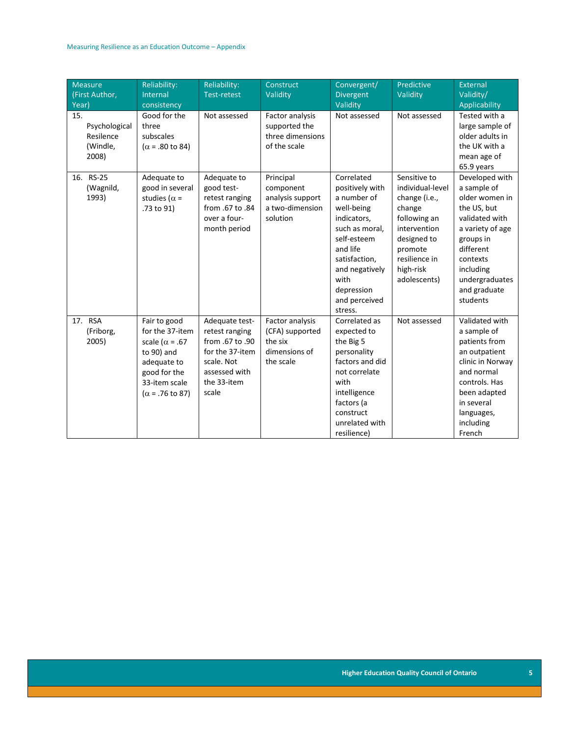| <b>Measure</b><br>(First Author,<br>Year)              | Reliability:<br>Internal<br>consistency                                                                                                                    | Reliability:<br><b>Test-retest</b>                                                                                            | Construct<br>Validity                                                       | Convergent/<br>Divergent<br>Validity                                                                                                                                                                        | Predictive<br>Validity                                                                                                                                              | External<br>Validity/<br>Applicability                                                                                                                                                                |
|--------------------------------------------------------|------------------------------------------------------------------------------------------------------------------------------------------------------------|-------------------------------------------------------------------------------------------------------------------------------|-----------------------------------------------------------------------------|-------------------------------------------------------------------------------------------------------------------------------------------------------------------------------------------------------------|---------------------------------------------------------------------------------------------------------------------------------------------------------------------|-------------------------------------------------------------------------------------------------------------------------------------------------------------------------------------------------------|
| 15.<br>Psychological<br>Resilence<br>(Windle,<br>2008) | Good for the<br>three<br>subscales<br>$(\alpha = .80 \text{ to } 84)$                                                                                      | Not assessed                                                                                                                  | Factor analysis<br>supported the<br>three dimensions<br>of the scale        | Not assessed                                                                                                                                                                                                | Not assessed                                                                                                                                                        | Tested with a<br>large sample of<br>older adults in<br>the UK with a<br>mean age of<br>65.9 years                                                                                                     |
| 16. RS-25<br>(Wagnild,<br>1993)                        | Adequate to<br>good in several<br>studies ( $\alpha$ =<br>.73 to 91)                                                                                       | Adequate to<br>good test-<br>retest ranging<br>from .67 to .84<br>over a four-<br>month period                                | Principal<br>component<br>analysis support<br>a two-dimension<br>solution   | Correlated<br>positively with<br>a number of<br>well-being<br>indicators,<br>such as moral,<br>self-esteem<br>and life<br>satisfaction,<br>and negatively<br>with<br>depression<br>and perceived<br>stress. | Sensitive to<br>individual-level<br>change (i.e.,<br>change<br>following an<br>intervention<br>designed to<br>promote<br>resilience in<br>high-risk<br>adolescents) | Developed with<br>a sample of<br>older women in<br>the US, but<br>validated with<br>a variety of age<br>groups in<br>different<br>contexts<br>including<br>undergraduates<br>and graduate<br>students |
| 17. RSA<br>(Friborg,<br>2005)                          | Fair to good<br>for the 37-item<br>scale ( $\alpha$ = .67<br>to 90) and<br>adequate to<br>good for the<br>33-item scale<br>$(\alpha = .76 \text{ to } 87)$ | Adequate test-<br>retest ranging<br>from .67 to .90<br>for the 37-item<br>scale. Not<br>assessed with<br>the 33-item<br>scale | Factor analysis<br>(CFA) supported<br>the six<br>dimensions of<br>the scale | Correlated as<br>expected to<br>the Big 5<br>personality<br>factors and did<br>not correlate<br>with<br>intelligence<br>factors (a<br>construct<br>unrelated with<br>resilience)                            | Not assessed                                                                                                                                                        | Validated with<br>a sample of<br>patients from<br>an outpatient<br>clinic in Norway<br>and normal<br>controls. Has<br>been adapted<br>in several<br>languages,<br>including<br>French                 |